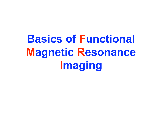**Basics of Functional Magnetic Resonance Imaging**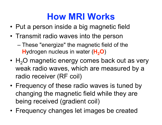#### **How MRI Works**

- Put a person inside a big magnetic field
- Transmit radio waves into the person

– These "energize" the magnetic field of the **H**ydrogen nucleus in water (H<sub>2</sub>O)

- $H<sub>2</sub>O$  magnetic energy comes back out as very weak radio waves, which are measured by a radio receiver (RF coil)
- Frequency of these radio waves is tuned by changing the magnetic field while they are being received (gradient coil)
- Frequency changes let images be created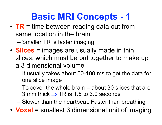### **Basic MRI Concepts - 1**

• **TR** = time between reading data out from same location in the brain

– Smaller TR is faster imaging

- **Slices** = images are usually made in thin slices, which must be put together to make up a 3 dimensional volume
	- It usually takes about 50-100 ms to get the data for one slice image
	- To cover the whole brain = about 30 slices that are 3 mm thick  $\Rightarrow$  TR is 1.5 to 3.0 seconds

– Slower than the heartbeat; Faster than breathing

• **Voxel** = smallest 3 dimensional unit of imaging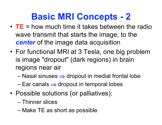### **Basic MRI Concepts - 2**

- **TE** = how much time it takes between the radio wave transmit that starts the image, to the *center* of the image data acquisition
- For functional MRI at 3 Tesla, one big problem is image "dropout" (dark regions) in brain regions near air
	- $-$  Nasal sinuses  $\Rightarrow$  dropout in medial frontal lobe
	- $-$  Ear canals  $\Rightarrow$  dropout in temporal lobes
- Possible solutions (or palliatives):
	- Thinner slices
	- Make TE as short as possible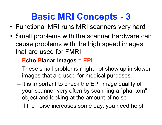### **Basic MRI Concepts - 3**

- Functional MRI runs MRI scanners very hard
- Small problems with the scanner hardware can cause problems with the high speed images that are used for FMRI

#### – **Echo Planar Images** = **EPI**

- These small problems might not show up in slower images that are used for medical purposes
- It is important to check the EPI image quality of your scanner very often by scanning a "phantom" object and looking at the amount of noise
- If the noise increases some day, you need help!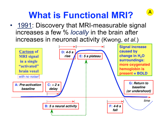# **What is Functional MRI?**

A

• 1991: Discovery that MRI-measurable signal increases a few % *locally* in the brain after increases in neuronal activity (Kwong, *et al*.)

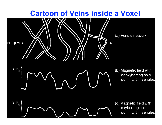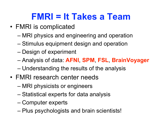### **FMRI = It Takes a Team**

- FMRI is complicated
	- MRI physics and engineering and operation
	- Stimulus equipment design and operation
	- Design of experiment
	- Analysis of data: **AFNI**, **SPM**, **FSL**, **BrainVoyager**
	- Understanding the results of the analysis
- FMRI research center needs
	- MRI physicists or engineers
	- Statistical experts for data analysis
	- Computer experts
	- Plus psychologists and brain scientists!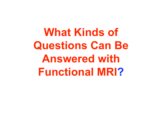**What Kinds of Questions Can Be Answered with Functional MRI?**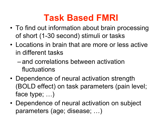### **Task Based FMRI**

- To find out information about brain processing of short (1-30 second) stimuli or tasks
- Locations in brain that are more or less active in different tasks
	- and correlations between activation fluctuations
- Dependence of neural activation strength (BOLD effect) on task parameters (pain level; face type; …)
- Dependence of neural activation on subject parameters (age; disease; …)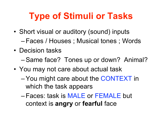# **Type of Stimuli or Tasks**

- Short visual or auditory (sound) inputs –Faces / Houses ; Musical tones ; Words
- Decision tasks
	- –Same face? Tones up or down? Animal?
- You may not care about actual task
	- –You might care about the CONTEXT in which the task appears
	- –Faces: task is MALE or FEMALE but context is **angry** or **fearful** face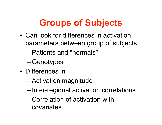### **Groups of Subjects**

- Can look for differences in activation parameters between group of subjects
	- –Patients and "normals"
	- –Genotypes
- Differences in
	- –Activation magnitude
	- Inter-regional activation correlations
	- Correlation of activation with covariates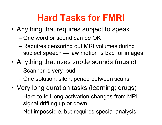# **Hard Tasks for FMRI**

- Anything that requires subject to speak
	- One word or sound can be OK
	- Requires censoring out MRI volumes during subject speech — jaw motion is bad for images
- Anything that uses subtle sounds (music)
	- Scanner is very loud
	- One solution: silent period between scans
- Very long duration tasks (learning; drugs)
	- Hard to tell long activation changes from MRI signal drifting up or down
	- Not impossible, but requires special analysis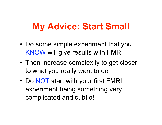#### **My Advice: Start Small**

- Do some simple experiment that you KNOW will give results with FMRI
- Then increase complexity to get closer to what you really want to do
- Do NOT start with your first FMRI experiment being something very complicated and subtle!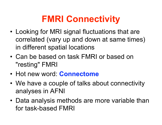#### **FMRI Connectivity**

- Looking for MRI signal fluctuations that are correlated (vary up and down at same times) in different spatial locations
- Can be based on task FMRI or based on "resting" FMRI
- **Hot new word: Connectome**
- We have a couple of talks about connectivity analyses in AFNI
- Data analysis methods are more variable than for task-based FMRI